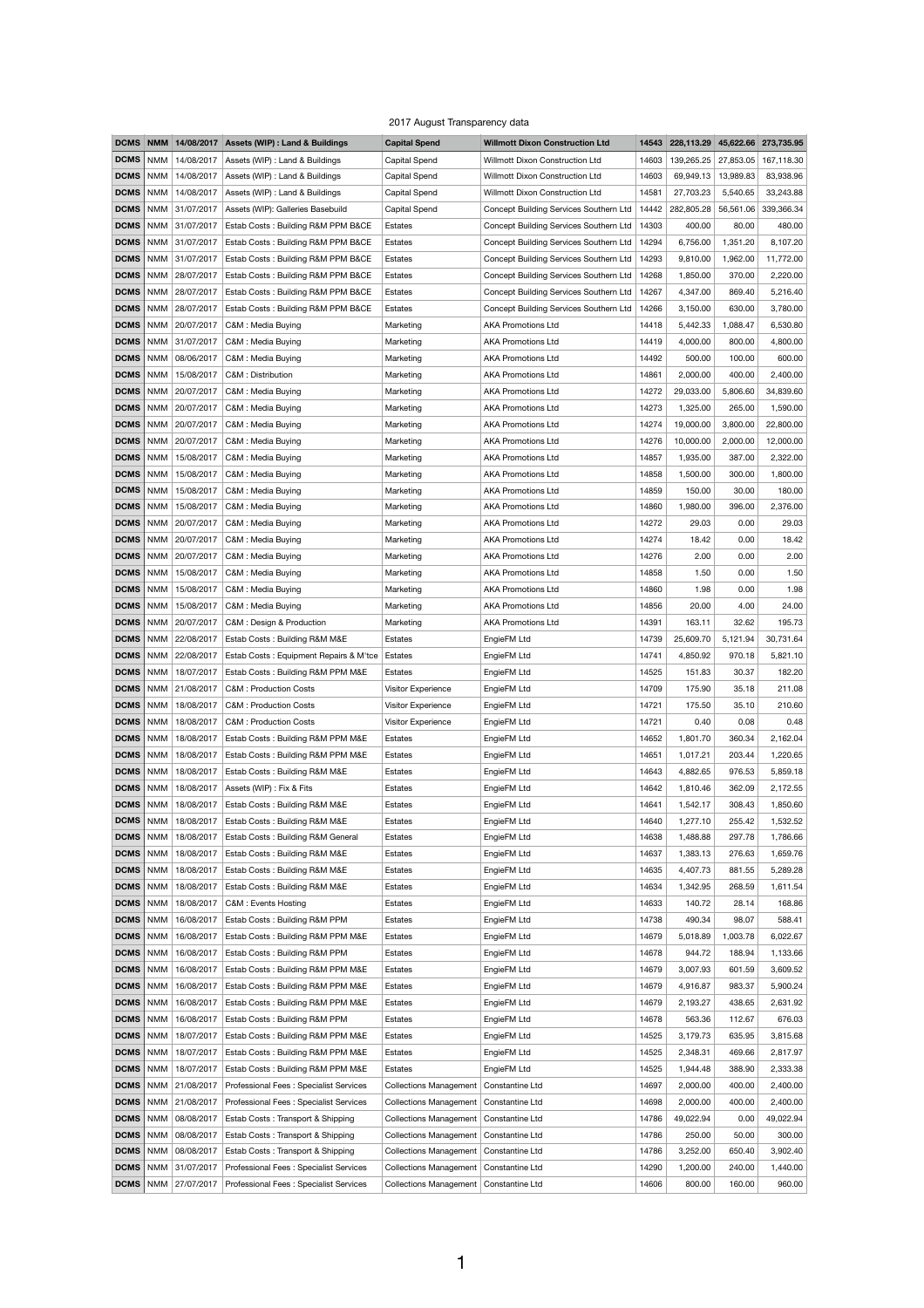## 2017 August Transparency data

|                   |            | <b>DCMS NMM 14/08/2017</b>     | <b>Assets (WIP): Land &amp; Buildings</b>    | <b>Capital Spend</b>                     | <b>Willmott Dixon Construction Ltd</b> | 14543 | 228,113.29 |           | 45,622.66 273,735.95 |
|-------------------|------------|--------------------------------|----------------------------------------------|------------------------------------------|----------------------------------------|-------|------------|-----------|----------------------|
| <b>DCMS</b>       | NMM        | 14/08/2017                     | Assets (WIP) : Land & Buildings              | <b>Capital Spend</b>                     | Willmott Dixon Construction Ltd        | 14603 | 139,265.25 | 27,853.05 | 167,118.30           |
| <b>DCMS</b>       | <b>NMM</b> | 14/08/2017                     | Assets (WIP) : Land & Buildings              | <b>Capital Spend</b>                     | Willmott Dixon Construction Ltd        | 14603 | 69,949.13  | 13,989.83 | 83,938.96            |
| <b>DCMS</b>       | <b>NMM</b> | 14/08/2017                     | Assets (WIP) : Land & Buildings              | <b>Capital Spend</b>                     | Willmott Dixon Construction Ltd        | 14581 | 27,703.23  | 5,540.65  | 33,243.88            |
| <b>DCMS</b>       | <b>NMM</b> | 31/07/2017                     | Assets (WIP): Galleries Basebuild            | <b>Capital Spend</b>                     | Concept Building Services Southern Ltd | 14442 | 282,805.28 | 56,561.06 | 339,366.34           |
| <b>DCMS</b>       | <b>NMM</b> | 31/07/2017                     | Estab Costs: Building R&M PPM B&CE           | Estates                                  | Concept Building Services Southern Ltd | 14303 | 400.00     | 80.00     | 480.00               |
| <b>DCMS</b>       | NMM        | 31/07/2017                     | Estab Costs: Building R&M PPM B&CE           | Estates                                  | Concept Building Services Southern Ltd | 14294 | 6,756.00   | 1,351.20  | 8,107.20             |
|                   |            |                                |                                              |                                          |                                        |       |            |           |                      |
| <b>DCMS</b>       | NMM        | 31/07/2017                     | Estab Costs: Building R&M PPM B&CE           | Estates                                  | Concept Building Services Southern Ltd | 14293 | 9,810.00   | 1,962.00  | 11,772.00            |
| <b>DCMS</b>       | <b>NMM</b> | 28/07/2017                     | Estab Costs: Building R&M PPM B&CE           | Estates                                  | Concept Building Services Southern Ltd | 14268 | 1,850.00   | 370.00    | 2,220.00             |
| <b>DCMS</b>       | <b>NMM</b> | 28/07/2017                     | Estab Costs: Building R&M PPM B&CE           | Estates                                  | Concept Building Services Southern Ltd | 14267 | 4,347.00   | 869.40    | 5,216.40             |
| <b>DCMS</b>       | NMM        | 28/07/2017                     | Estab Costs: Building R&M PPM B&CE           | Estates                                  | Concept Building Services Southern Ltd | 14266 | 3,150.00   | 630.00    | 3,780.00             |
| <b>DCMS</b>       | <b>NMM</b> | 20/07/2017                     | C&M : Media Buying                           | Marketing                                | <b>AKA Promotions Ltd</b>              | 14418 | 5,442.33   | 1,088.47  | 6,530.80             |
| <b>DCMS</b>       | <b>NMM</b> | 31/07/2017                     | C&M : Media Buying                           | Marketing                                | <b>AKA Promotions Ltd</b>              | 14419 | 4,000.00   | 800.00    | 4,800.00             |
| <b>DCMS</b>       | NMM        | 08/06/2017                     | C&M : Media Buying                           | Marketing                                | <b>AKA Promotions Ltd</b>              | 14492 | 500.00     | 100.00    | 600.00               |
| <b>DCMS</b>       | <b>NMM</b> | 15/08/2017                     | C&M: Distribution                            | Marketing                                | <b>AKA Promotions Ltd</b>              | 14861 | 2,000.00   | 400.00    | 2,400.00             |
| <b>DCMS</b>       | <b>NMM</b> | 20/07/2017                     | C&M : Media Buying                           | Marketing                                | <b>AKA Promotions Ltd</b>              | 14272 | 29,033.00  | 5,806.60  | 34,839.60            |
| <b>DCMS</b>       | NMM        | 20/07/2017                     | C&M : Media Buying                           | Marketing                                | <b>AKA Promotions Ltd</b>              | 14273 | 1,325.00   | 265.00    | 1,590.00             |
| <b>DCMS</b>       | <b>NMM</b> | 20/07/2017                     | C&M : Media Buying                           | Marketing                                | <b>AKA Promotions Ltd</b>              | 14274 | 19,000.00  | 3,800.00  | 22,800.00            |
| <b>DCMS</b>       | <b>NMM</b> | 20/07/2017                     | C&M : Media Buying                           | Marketing                                | <b>AKA Promotions Ltd</b>              | 14276 | 10,000.00  | 2,000.00  | 12,000.00            |
| <b>DCMS</b>       |            | NMM   15/08/2017               | C&M : Media Buying                           | Marketing                                | <b>AKA Promotions Ltd</b>              | 14857 | 1,935.00   | 387.00    | 2,322.00             |
| <b>DCMS</b>       | <b>NMM</b> | 15/08/2017                     | C&M : Media Buying                           | Marketing                                | <b>AKA Promotions Ltd</b>              | 14858 | 1,500.00   | 300.00    | 1,800.00             |
| <b>DCMS</b>       |            | NMM   15/08/2017               | C&M : Media Buying                           | Marketing                                | <b>AKA Promotions Ltd</b>              | 14859 | 150.00     | 30.00     | 180.00               |
|                   |            |                                | DCMS   NMM   15/08/2017   C&M : Media Buying | Marketing                                | <b>AKA Promotions Ltd</b>              | 14860 | 1,980.00   | 396.00    | 2,376.00             |
| <b>DCMS</b>       | $\mid$ NMM | 20/07/2017                     | C&M : Media Buying                           | Marketing                                | <b>AKA Promotions Ltd</b>              | 14272 | 29.03      | 0.00      | 29.03                |
| <b>DCMS</b>       | <b>NMM</b> | 20/07/2017                     | C&M : Media Buying                           | Marketing                                | <b>AKA Promotions Ltd</b>              | 14274 | 18.42      | 0.00      | 18.42                |
| <b>DCMS</b>       | NMM        | 20/07/2017                     | C&M : Media Buying                           | Marketing                                | <b>AKA Promotions Ltd</b>              | 14276 | 2.00       | 0.00      | 2.00                 |
| <b>DCMS</b>       | $\mid$ NMM | 15/08/2017                     | C&M : Media Buying                           | Marketing                                | <b>AKA Promotions Ltd</b>              | 14858 | 1.50       | 0.00      | 1.50                 |
| <b>DCMS</b>       |            | NMM   15/08/2017               | C&M : Media Buying                           |                                          | <b>AKA Promotions Ltd</b>              | 14860 | 1.98       |           | 1.98                 |
|                   |            |                                |                                              | Marketing                                |                                        |       |            | 0.00      |                      |
| <b>DCMS</b>       | NMM        | 15/08/2017                     | C&M : Media Buying                           | Marketing                                | <b>AKA Promotions Ltd</b>              | 14856 | 20.00      | 4.00      | 24.00                |
| <b>DCMS</b>       | $\mid$ NMM | 20/07/2017                     | C&M : Design & Production                    | Marketing                                | <b>AKA Promotions Ltd</b>              | 14391 | 163.11     | 32.62     | 195.73               |
| <b>DCMS</b>       | NMM        | 22/08/2017                     | Estab Costs: Building R&M M&E                | Estates                                  | EngieFM Ltd                            | 14739 | 25,609.70  | 5,121.94  | 30,731.64            |
| <b>DCMS</b>       | NMM        | 22/08/2017                     | Estab Costs : Equipment Repairs & M'tce      | Estates                                  | EngieFM Ltd                            | 14741 | 4,850.92   | 970.18    | 5,821.10             |
| <b>DCMS</b>       | NMM        | 18/07/2017                     | Estab Costs: Building R&M PPM M&E            | Estates                                  | EngieFM Ltd                            | 14525 | 151.83     | 30.37     | 182.20               |
| <b>DCMS</b>       | NMM        | 21/08/2017                     | <b>C&amp;M: Production Costs</b>             | Visitor Experience                       | EngieFM Ltd                            | 14709 | 175.90     | 35.18     | 211.08               |
| <b>DCMS</b>       |            | NMM   18/08/2017               | <b>C&amp;M: Production Costs</b>             | Visitor Experience                       | EngieFM Ltd                            | 14721 | 175.50     | 35.10     | 210.60               |
| <b>DCMS</b>       | NMM        | 18/08/2017                     | <b>C&amp;M: Production Costs</b>             | Visitor Experience                       | EngieFM Ltd                            | 14721 | 0.40       | 0.08      | 0.48                 |
| <b>DCMS</b>       | NMM        | 18/08/2017                     | Estab Costs: Building R&M PPM M&E            | Estates                                  | EngieFM Ltd                            | 14652 | 1,801.70   | 360.34    | 2,162.04             |
| <b>DCMS</b>       | NMM        | 18/08/2017                     | Estab Costs: Building R&M PPM M&E            | Estates                                  | EngieFM Ltd                            | 14651 | 1,017.21   | 203.44    | 1,220.65             |
| <b>DCMS</b>       | NMM        | 18/08/2017                     | Estab Costs: Building R&M M&E                | Estates                                  | EngieFM Ltd                            | 14643 | 4,882.65   | 976.53    | 5,859.18             |
| <b>DCMS</b>       | NMM        | 18/08/2017                     | Assets (WIP) : Fix & Fits                    | Estates                                  | EngieFM Ltd                            | 14642 | 1,810.46   | 362.09    | 2,172.55             |
| <b>DCMS</b>       | NMM        | 18/08/2017                     | Estab Costs: Building R&M M&E                | Estates                                  | EngieFM Ltd                            | 14641 | 1,542.17   | 308.43    | 1,850.60             |
| <b>DCMS</b>       | NMM        | 18/08/2017                     | Estab Costs: Building R&M M&E                | Estates                                  | EngieFM Ltd                            | 14640 | 1,277.10   | 255.42    | 1,532.52             |
| <b>DCMS</b>       | NMM        | 18/08/2017                     | Estab Costs: Building R&M General            | Estates                                  | EngieFM Ltd                            | 14638 | 1,488.88   | 297.78    | 1,786.66             |
| DCMS              | $\mid$ NMM | 18/08/2017                     | Estab Costs: Building R&M M&E                | Estates                                  | EngieFM Ltd                            | 14637 | 1,383.13   | 276.63    | 1,659.76             |
|                   |            | <b>DCMS</b>   NMM   18/08/2017 | Estab Costs: Building R&M M&E                | Estates                                  | EngieFM Ltd                            | 14635 | 4,407.73   | 881.55    | 5,289.28             |
| <b>DCMS</b>       | NMM        | 18/08/2017                     | Estab Costs: Building R&M M&E                | Estates                                  | EngieFM Ltd                            | 14634 | 1,342.95   | 268.59    | 1,611.54             |
| <b>DCMS</b>       | NMM        | 18/08/2017                     | C&M : Events Hosting                         | Estates                                  | EngieFM Ltd                            | 14633 | 140.72     | 28.14     | 168.86               |
| <b>DCMS</b>       | <b>NMM</b> | 16/08/2017                     | Estab Costs: Building R&M PPM                | Estates                                  | EngieFM Ltd                            | 14738 | 490.34     | 98.07     | 588.41               |
| <b>DCMS</b>       | NMM        | 16/08/2017                     | Estab Costs: Building R&M PPM M&E            | Estates                                  | EngieFM Ltd                            | 14679 | 5,018.89   | 1,003.78  | 6,022.67             |
| <b>DCMS</b>       | NMM        | 16/08/2017                     | Estab Costs: Building R&M PPM                | Estates                                  | EngieFM Ltd                            | 14678 | 944.72     | 188.94    | 1,133.66             |
| <b>DCMS</b>       | NMM        | 16/08/2017                     | Estab Costs: Building R&M PPM M&E            | <b>Estates</b>                           | EngieFM Ltd                            | 14679 | 3,007.93   | 601.59    | 3,609.52             |
| <b>DCMS</b>       | NMM        | 16/08/2017                     | Estab Costs: Building R&M PPM M&E            | Estates                                  | EngieFM Ltd                            | 14679 | 4,916.87   | 983.37    | 5,900.24             |
| <b>DCMS</b>       | NMM        | 16/08/2017                     | Estab Costs: Building R&M PPM M&E            | Estates                                  | EngieFM Ltd                            | 14679 | 2,193.27   | 438.65    | 2,631.92             |
| <b>DCMS</b>       | <b>NMM</b> | 16/08/2017                     | Estab Costs: Building R&M PPM                | Estates                                  | EngieFM Ltd                            | 14678 | 563.36     | 112.67    | 676.03               |
| <b>DCMS</b>       | NMM        | 18/07/2017                     | Estab Costs: Building R&M PPM M&E            | Estates                                  | EngieFM Ltd                            | 14525 | 3,179.73   | 635.95    | 3,815.68             |
| <b>DCMS</b>       | NMM        | 18/07/2017                     | Estab Costs: Building R&M PPM M&E            | Estates                                  | EngieFM Ltd                            | 14525 | 2,348.31   | 469.66    | 2,817.97             |
| <b>DCMS</b>       | NMM        | 18/07/2017                     | Estab Costs: Building R&M PPM M&E            | Estates                                  | EngieFM Ltd                            | 14525 | 1,944.48   | 388.90    | 2,333.38             |
| <b>DCMS</b>       | NMM        | 21/08/2017                     | Professional Fees: Specialist Services       | <b>Collections Management</b>            | Constantine Ltd                        | 14697 | 2,000.00   | 400.00    | 2,400.00             |
| <b>DCMS</b>       | NMM        | 21/08/2017                     | Professional Fees: Specialist Services       | Collections Management                   | Constantine Ltd                        | 14698 | 2,000.00   | 400.00    | 2,400.00             |
|                   |            |                                |                                              |                                          |                                        |       |            |           |                      |
| <b>DCMS</b>       | NMM        | 08/08/2017                     | Estab Costs: Transport & Shipping            | Collections Management   Constantine Ltd |                                        | 14786 | 49,022.94  | 0.00      | 49,022.94            |
| <b>DCMS</b>       | <b>NMM</b> | 08/08/2017                     | Estab Costs: Transport & Shipping            | <b>Collections Management</b>            | Constantine Ltd                        | 14786 | 250.00     | 50.00     | 300.00               |
| <b>DCMS</b>       | NMM        | 08/08/2017                     | Estab Costs: Transport & Shipping            | Collections Management                   | Constantine Ltd                        | 14786 | 3,252.00   | 650.40    | 3,902.40             |
| <b>DCMS</b>       | NMM        | 31/07/2017                     | Professional Fees: Specialist Services       | Collections Management   Constantine Ltd |                                        | 14290 | 1,200.00   | 240.00    | 1,440.00             |
| <b>DCMS</b>   NMM |            | 27/07/2017                     | Professional Fees: Specialist Services       | Collections Management   Constantine Ltd |                                        | 14606 | 800.00     | 160.00    | 960.00               |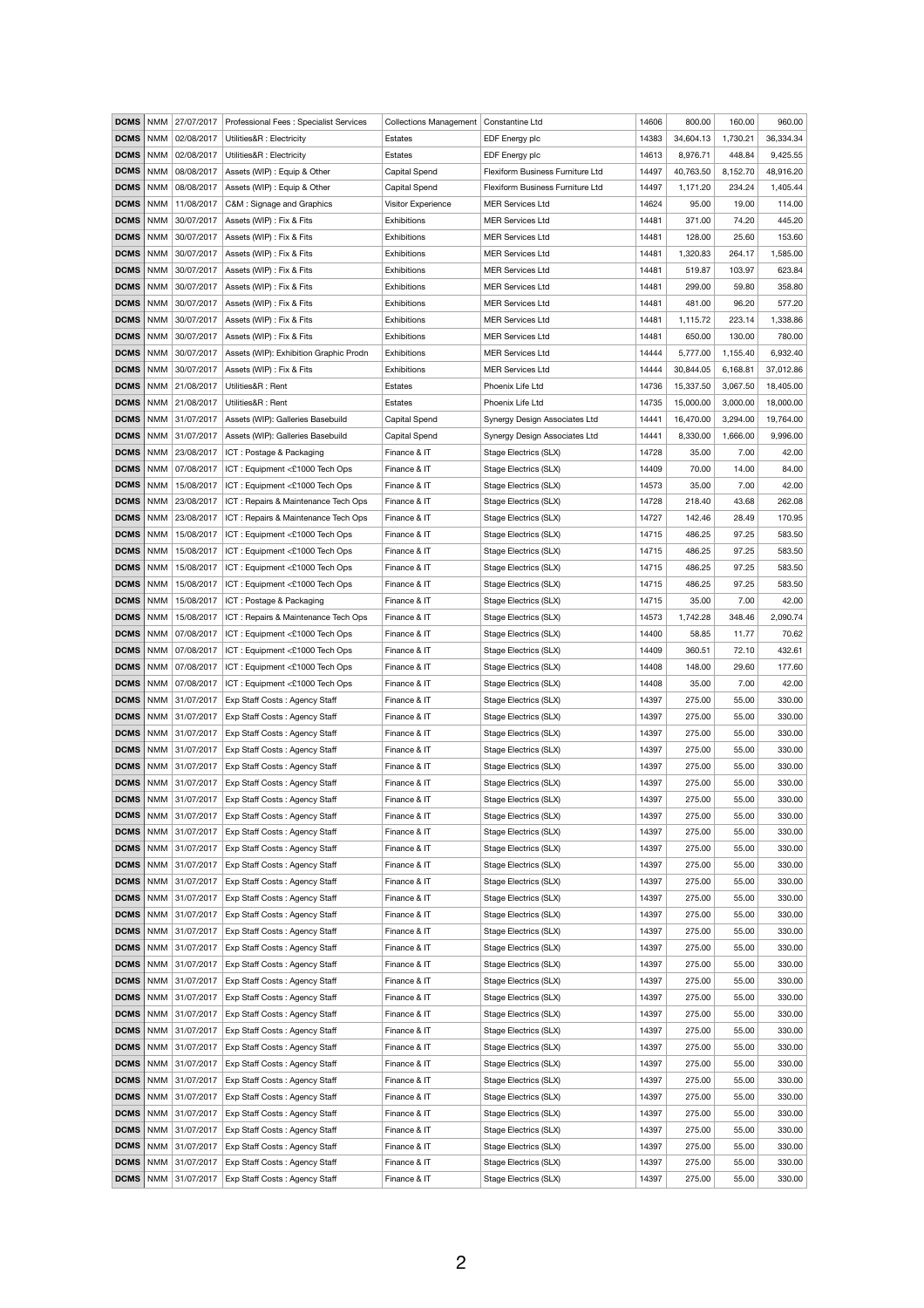| <b>DCMS</b>                | NMM          | 27/07/2017                       | Professional Fees: Specialist Services                           | Collections Management   Constantine Ltd |                                                | 14606          | 800.00           | 160.00         | 960.00           |
|----------------------------|--------------|----------------------------------|------------------------------------------------------------------|------------------------------------------|------------------------------------------------|----------------|------------------|----------------|------------------|
| <b>DCMS</b>                | NMM          | 02/08/2017                       | Utilities&R : Electricity                                        | Estates                                  | EDF Energy plc                                 | 14383          | 34,604.13        | 1,730.21       | 36,334.34        |
| <b>DCMS</b>                | <b>NMM</b>   | 02/08/2017                       | Utilities&R : Electricity                                        | <b>Estates</b>                           | EDF Energy plc                                 | 14613          | 8,976.71         | 448.84         | 9,425.55         |
| <b>DCMS</b>                | <b>NMM</b>   | 08/08/2017                       | Assets (WIP) : Equip & Other                                     | <b>Capital Spend</b>                     | Flexiform Business Furniture Ltd               | 14497          | 40,763.50        | 8,152.70       | 48,916.20        |
| <b>DCMS</b>                | NMM          | 08/08/2017                       | Assets (WIP) : Equip & Other                                     | <b>Capital Spend</b>                     | Flexiform Business Furniture Ltd               | 14497          | 1,171.20         | 234.24         | 1,405.44         |
| <b>DCMS</b>                |              | NMM 11/08/2017                   | C&M: Signage and Graphics                                        | Visitor Experience                       | <b>MER Services Ltd</b>                        | 14624          | 95.00            | 19.00          | 114.00           |
| <b>DCMS</b>                |              | NMM 30/07/2017                   | Assets (WIP) : Fix & Fits                                        | <b>Exhibitions</b>                       | <b>MER Services Ltd</b>                        | 14481          | 371.00           | 74.20          | 445.20           |
| <b>DCMS</b>                | NMM          | 30/07/2017                       | Assets (WIP) : Fix & Fits                                        | <b>Exhibitions</b>                       | <b>MER Services Ltd</b>                        | 14481          | 128.00           | 25.60          | 153.60           |
| <b>DCMS</b>                | NMM          | 30/07/2017                       | Assets (WIP) : Fix & Fits                                        | <b>Exhibitions</b>                       | <b>MER Services Ltd</b>                        | 14481          | 1,320.83         | 264.17         | 1,585.00         |
| <b>DCMS</b>                | NMM          | 30/07/2017                       | Assets (WIP) : Fix & Fits                                        | <b>Exhibitions</b>                       | <b>MER Services Ltd</b>                        | 14481          | 519.87           | 103.97         | 623.84           |
| <b>DCMS</b>                | NMM          | 30/07/2017                       | Assets (WIP) : Fix & Fits                                        | <b>Exhibitions</b>                       | <b>MER Services Ltd</b>                        | 14481          | 299.00           | 59.80          | 358.80           |
| <b>DCMS</b>                | NMM          | 30/07/2017                       | Assets (WIP) : Fix & Fits                                        | <b>Exhibitions</b>                       | <b>MER Services Ltd</b>                        | 14481          | 481.00           | 96.20          | 577.20           |
| <b>DCMS</b>                | NMM          | 30/07/2017                       | Assets (WIP) : Fix & Fits                                        | <b>Exhibitions</b>                       | <b>MER Services Ltd</b>                        | 14481          | 1,115.72         | 223.14         | 1,338.86         |
| <b>DCMS</b>                | NMM          | 30/07/2017                       | Assets (WIP) : Fix & Fits                                        | Exhibitions                              | <b>MER Services Ltd</b>                        | 14481          | 650.00           | 130.00         | 780.00           |
| <b>DCMS</b>                | NMM          | 30/07/2017                       | Assets (WIP): Exhibition Graphic Prodn                           | <b>Exhibitions</b>                       | <b>MER Services Ltd</b>                        | 14444          | 5,777.00         | 1,155.40       | 6,932.40         |
| <b>DCMS</b>                | NMM          | 30/07/2017                       | Assets (WIP) : Fix & Fits                                        | <b>Exhibitions</b>                       | <b>MER Services Ltd</b>                        | 14444          | 30,844.05        | 6,168.81       | 37,012.86        |
| <b>DCMS</b>                | <b>NMM</b>   | 21/08/2017                       | Utilities&R: Rent                                                | Estates                                  | Phoenix Life Ltd                               | 14736          | 15,337.50        | 3,067.50       | 18,405.00        |
| <b>DCMS</b>                |              | NMM 21/08/2017                   | Utilities&R: Rent                                                | <b>Estates</b>                           | Phoenix Life Ltd                               | 14735          | 15,000.00        | 3,000.00       | 18,000.00        |
| <b>DCMS</b>                | NMM          | 31/07/2017                       | Assets (WIP): Galleries Basebuild                                | <b>Capital Spend</b>                     | Synergy Design Associates Ltd                  | 14441          | 16,470.00        | 3,294.00       | 19,764.00        |
| <b>DCMS</b>                | <b>NMM</b>   | 31/07/2017                       | Assets (WIP): Galleries Basebuild                                | <b>Capital Spend</b>                     | Synergy Design Associates Ltd                  | 14441          | 8,330.00         | 1,666.00       | 9,996.00         |
| <b>DCMS</b>                | NMM          | 23/08/2017                       | ICT: Postage & Packaging                                         | Finance & IT                             | Stage Electrics (SLX)                          | 14728          | 35.00            | 7.00           | 42.00            |
| <b>DCMS</b>                | NMM          | 07/08/2017                       | ICT: Equipment <£1000 Tech Ops                                   | Finance & IT                             | Stage Electrics (SLX)                          | 14409          | 70.00            | 14.00          | 84.00            |
| <b>DCMS</b>                |              | NMM   15/08/2017                 | ICT: Equipment <£1000 Tech Ops                                   | Finance & IT                             | Stage Electrics (SLX)                          | 14573          | 35.00            | 7.00           | 42.00            |
| <b>DCMS</b>                | NMM          | 23/08/2017                       | ICT: Repairs & Maintenance Tech Ops                              | Finance & IT                             | Stage Electrics (SLX)                          | 14728          | 218.40           | 43.68          | 262.08           |
| <b>DCMS</b>                | NMM          | 23/08/2017                       | ICT: Repairs & Maintenance Tech Ops                              | Finance & IT                             | Stage Electrics (SLX)                          | 14727          | 142.46           | 28.49          | 170.95           |
| <b>DCMS</b>                |              | NMM   15/08/2017                 | ICT: Equipment <£1000 Tech Ops                                   | Finance & IT                             | Stage Electrics (SLX)                          | 14715          | 486.25           | 97.25          | 583.50           |
| <b>DCMS</b>                |              | NMM   15/08/2017                 | ICT: Equipment <£1000 Tech Ops                                   | Finance & IT                             | Stage Electrics (SLX)                          | 14715          | 486.25           | 97.25          | 583.50           |
| <b>DCMS</b>                | $\mid$ NMM   | 15/08/2017                       | ICT: Equipment <£1000 Tech Ops                                   | Finance & IT                             | Stage Electrics (SLX)                          | 14715          | 486.25           | 97.25          | 583.50           |
| <b>DCMS</b>                |              | NMM   15/08/2017                 | ICT: Equipment <£1000 Tech Ops                                   | Finance & IT                             | Stage Electrics (SLX)                          | 14715          | 486.25           | 97.25          | 583.50           |
| <b>DCMS</b>                | NMM          | 15/08/2017                       | ICT: Postage & Packaging                                         | Finance & IT                             | Stage Electrics (SLX)                          | 14715          | 35.00            | 7.00           | 42.00            |
| DCMS   NMM                 |              | 15/08/2017                       | ICT: Repairs & Maintenance Tech Ops                              | Finance & IT                             | Stage Electrics (SLX)                          | 14573          | 1,742.28         | 348.46         | 2,090.74         |
| <b>DCMS</b>                | NMM          | 07/08/2017                       | ICT: Equipment <£1000 Tech Ops                                   | Finance & IT                             | Stage Electrics (SLX)                          | 14400          | 58.85            | 11.77          | 70.62            |
| <b>DCMS</b>                | NMM          | 07/08/2017                       | ICT: Equipment <£1000 Tech Ops                                   | Finance & IT                             | Stage Electrics (SLX)                          | 14409          | 360.51           | 72.10          | 432.61           |
| <b>DCMS</b><br><b>DCMS</b> | NMM<br>  NMM | 07/08/2017<br>07/08/2017         | ICT: Equipment <£1000 Tech Ops<br>ICT: Equipment <£1000 Tech Ops | Finance & IT<br>Finance & IT             | Stage Electrics (SLX)<br>Stage Electrics (SLX) | 14408<br>14408 | 148.00<br>35.00  | 29.60<br>7.00  | 177.60<br>42.00  |
| DCMS                       |              | NMM   31/07/2017                 | Exp Staff Costs: Agency Staff                                    | Finance & IT                             | Stage Electrics (SLX)                          | 14397          | 275.00           | 55.00          | 330.00           |
| <b>DCMS</b>                |              | NMM   31/07/2017                 | Exp Staff Costs: Agency Staff                                    | Finance & IT                             | Stage Electrics (SLX)                          | 14397          | 275.00           | 55.00          | 330.00           |
|                            |              | <b>DCMS</b>   NMM   31/07/2017   | Exp Staff Costs: Agency Staff                                    | Finance & IT                             | Stage Electrics (SLX)                          | 14397          | 275.00           | 55.00          | 330.00           |
|                            |              | <b>DCMS</b>   NMM   31/07/2017   | Exp Staff Costs: Agency Staff                                    | Finance & IT                             | Stage Electrics (SLX)                          | 14397          | 275.00           | 55.00          | 330.00           |
| <b>DCMS</b>                |              | NMM   31/07/2017                 | Exp Staff Costs: Agency Staff                                    | Finance & IT                             | Stage Electrics (SLX)                          | 14397          | 275.00           | 55.00          | 330.00           |
| <b>DCMS</b>                |              | NMM   31/07/2017                 | Exp Staff Costs: Agency Staff                                    | Finance & IT                             | Stage Electrics (SLX)                          | 14397          | 275.00           | 55.00          | 330.00           |
|                            |              | <b>DCMS</b>   NMM   31/07/2017   | Exp Staff Costs: Agency Staff                                    | Finance & IT                             | Stage Electrics (SLX)                          | 14397          | 275.00           | 55.00          | 330.00           |
| <b>DCMS</b>                |              | NMM   31/07/2017                 | Exp Staff Costs: Agency Staff                                    | Finance & IT                             | Stage Electrics (SLX)                          | 14397          | 275.00           | 55.00          | 330.00           |
|                            |              | <b>DCMS</b>   NMM   31/07/2017   | Exp Staff Costs: Agency Staff                                    | Finance & IT                             | Stage Electrics (SLX)                          | 14397          | 275.00           | 55.00          | 330.00           |
|                            |              | <b>DCMS</b>   NMM $  31/07/2017$ | Exp Staff Costs: Agency Staff                                    | Finance & IT                             | Stage Electrics (SLX)                          | 14397          | 275.00           | 55.00          | 330.00           |
| <b>DCMS</b>                | NMM          | 31/07/2017                       | Exp Staff Costs: Agency Staff                                    | Finance & IT                             | Stage Electrics (SLX)                          | 14397          | 275.00           | 55.00          | 330.00           |
|                            |              | <b>DCMS</b>   NMM   31/07/2017   | Exp Staff Costs: Agency Staff                                    | Finance & IT                             | Stage Electrics (SLX)                          | 14397          | 275.00           | 55.00          | 330.00           |
|                            |              | <b>DCMS</b>   NMM   31/07/2017   | Exp Staff Costs: Agency Staff                                    | Finance & IT                             | Stage Electrics (SLX)                          | 14397          | 275.00           | 55.00          | 330.00           |
| <b>DCMS</b>                |              | NMM   31/07/2017                 | Exp Staff Costs: Agency Staff                                    | Finance & IT                             | Stage Electrics (SLX)                          | 14397          | 275.00           | 55.00          | 330.00           |
|                            |              | <b>DCMS</b>   NMM   31/07/2017   | Exp Staff Costs: Agency Staff                                    | Finance & IT                             | Stage Electrics (SLX)                          | 14397          | 275.00           | 55.00          | 330.00           |
|                            |              | <b>DCMS</b>   NMM   31/07/2017   | Exp Staff Costs: Agency Staff                                    | Finance & IT                             | Stage Electrics (SLX)                          | 14397          | 275.00           | 55.00          | 330.00           |
| <b>DCMS</b>                |              | NMM   31/07/2017                 | Exp Staff Costs: Agency Staff                                    | Finance & IT                             | Stage Electrics (SLX)                          | 14397          | 275.00           | 55.00          | 330.00           |
|                            |              | <b>DCMS</b>   NMM $ 31/07/2017$  | Exp Staff Costs: Agency Staff                                    | Finance & IT                             | Stage Electrics (SLX)                          | 14397          | 275.00           | 55.00          | 330.00           |
| DCMS   NMM                 |              | 31/07/2017                       | Exp Staff Costs: Agency Staff                                    | Finance & IT                             | Stage Electrics (SLX)                          | 14397          | 275.00           | 55.00          | 330.00           |
| <b>DCMS</b>                |              | NMM   31/07/2017                 | Exp Staff Costs: Agency Staff                                    | Finance & IT                             | Stage Electrics (SLX)                          | 14397          | 275.00           | 55.00          | 330.00           |
|                            |              | <b>DCMS</b>   NMM   31/07/2017   | Exp Staff Costs: Agency Staff                                    | Finance & IT                             | Stage Electrics (SLX)                          | 14397          | 275.00           | 55.00          | 330.00           |
|                            |              | <b>DCMS</b>   NMM   31/07/2017   | Exp Staff Costs: Agency Staff                                    | Finance & IT                             | Stage Electrics (SLX)                          | 14397          | 275.00           | 55.00          | 330.00           |
| <b>DCMS</b>                |              | NMM   31/07/2017                 | Exp Staff Costs: Agency Staff                                    | Finance & IT                             | Stage Electrics (SLX)                          | 14397          | 275.00           | 55.00          | 330.00           |
| DCMS   NMM                 |              | 31/07/2017                       | Exp Staff Costs: Agency Staff                                    | Finance & IT                             | Stage Electrics (SLX)                          | 14397          | 275.00           | 55.00          | 330.00           |
| DCMS   NMM<br><b>DCMS</b>  |              | 31/07/2017<br>  NMM   31/07/2017 | Exp Staff Costs: Agency Staff<br>Exp Staff Costs: Agency Staff   | Finance & IT<br>Finance & IT             | Stage Electrics (SLX)<br>Stage Electrics (SLX) | 14397<br>14397 | 275.00<br>275.00 | 55.00<br>55.00 | 330.00<br>330.00 |
| <b>DCMS</b>                |              | NMM   31/07/2017                 | Exp Staff Costs: Agency Staff                                    | Finance & IT                             | Stage Electrics (SLX)                          | 14397          | 275.00           | 55.00          | 330.00           |
|                            |              | <b>DCMS</b>   NMM   31/07/2017   | Exp Staff Costs: Agency Staff                                    | Finance & IT                             | Stage Electrics (SLX)                          | 14397          | 275.00           | 55.00          | 330.00           |
|                            |              | <b>DCMS</b>   NMM   31/07/2017   | Exp Staff Costs: Agency Staff                                    | Finance & IT                             | Stage Electrics (SLX)                          | 14397          | 275.00           | 55.00          | 330.00           |
|                            |              | <b>DCMS</b> NMM 31/07/2017       | Exp Staff Costs: Agency Staff                                    | Finance & IT                             | Stage Electrics (SLX)                          | 14397          | 275.00           | 55.00          | 330.00           |
|                            |              |                                  |                                                                  |                                          |                                                |                |                  |                |                  |